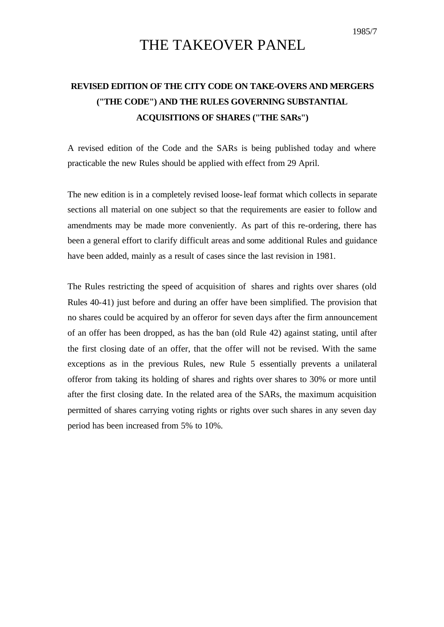## THE TAKEOVER PANEL

## **REVISED EDITION OF THE CITY CODE ON TAKE-OVERS AND MERGERS ("THE CODE") AND THE RULES GOVERNING SUBSTANTIAL ACQUISITIONS OF SHARES ("THE SARs")**

A revised edition of the Code and the SARs is being published today and where practicable the new Rules should be applied with effect from 29 April.

The new edition is in a completely revised loose-leaf format which collects in separate sections all material on one subject so that the requirements are easier to follow and amendments may be made more conveniently. As part of this re-ordering, there has been a general effort to clarify difficult areas and some additional Rules and guidance have been added, mainly as a result of cases since the last revision in 1981.

The Rules restricting the speed of acquisition of shares and rights over shares (old Rules 40-41) just before and during an offer have been simplified. The provision that no shares could be acquired by an offeror for seven days after the firm announcement of an offer has been dropped, as has the ban (old Rule 42) against stating, until after the first closing date of an offer, that the offer will not be revised. With the same exceptions as in the previous Rules, new Rule 5 essentially prevents a unilateral offeror from taking its holding of shares and rights over shares to 30% or more until after the first closing date. In the related area of the SARs, the maximum acquisition permitted of shares carrying voting rights or rights over such shares in any seven day period has been increased from 5% to 10%.